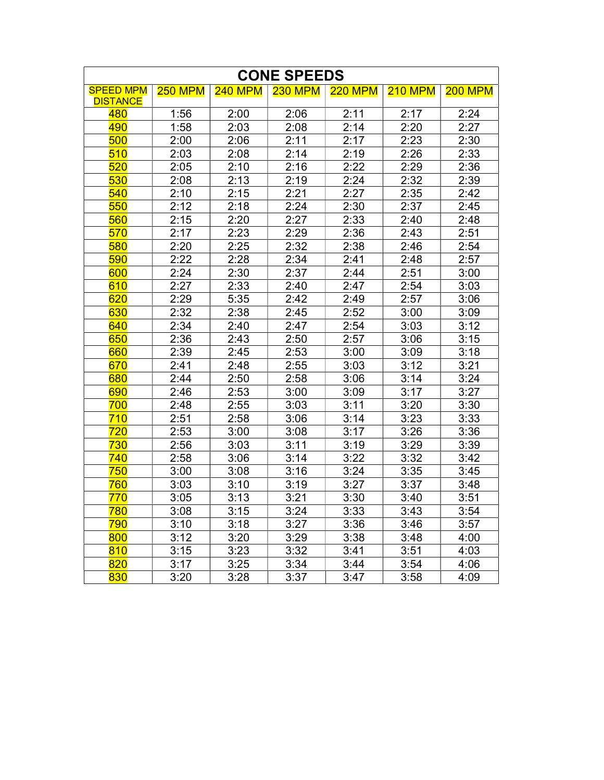| <b>CONE SPEEDS</b> |                |                |                |                |                |                |  |  |  |  |
|--------------------|----------------|----------------|----------------|----------------|----------------|----------------|--|--|--|--|
| <b>SPEED MPM</b>   | <b>250 MPM</b> | <b>240 MPM</b> | <b>230 MPM</b> | <b>220 MPM</b> | <b>210 MPM</b> | <b>200 MPM</b> |  |  |  |  |
| <b>DISTANCE</b>    |                |                |                |                |                |                |  |  |  |  |
| 480                | 1:56           | 2:00           | 2:06           | 2:11           | 2:17           | 2:24           |  |  |  |  |
| 490                | 1:58           | 2:03           | 2:08           | 2:14           | 2:20           | 2:27           |  |  |  |  |
| 500                | 2:00           | 2:06           | 2:11           | 2:17           | 2:23           | 2:30           |  |  |  |  |
| 510                | 2:03           | 2:08           | 2:14           | 2:19           | 2:26           | 2:33           |  |  |  |  |
| 520                | 2:05           | 2:10           | 2:16           | 2:22           | 2:29           | 2:36           |  |  |  |  |
| 530                | 2:08           | 2:13           | 2:19           | 2:24           | 2:32           | 2:39           |  |  |  |  |
| 540                | 2:10           | 2:15           | 2:21           | 2:27           | 2:35           | 2:42           |  |  |  |  |
| 550                | 2:12           | 2:18           | 2:24           | 2:30           | 2:37           | 2:45           |  |  |  |  |
| 560                | 2:15           | 2:20           | 2:27           | 2:33           | 2:40           | 2:48           |  |  |  |  |
| 570                | 2:17           | 2:23           | 2:29           | 2:36           | 2:43           | 2:51           |  |  |  |  |
| 580                | 2:20           | 2:25           | 2:32           | 2:38           | 2:46           | 2:54           |  |  |  |  |
| 590                | 2:22           | 2:28           | 2:34           | 2:41           | 2:48           | 2:57           |  |  |  |  |
| 600                | 2:24           | 2:30           | 2:37           | 2:44           | 2:51           | 3:00           |  |  |  |  |
| 610                | 2:27           | 2:33           | 2:40           | 2:47           | 2:54           | 3:03           |  |  |  |  |
| 620                | 2:29           | 5:35           | 2:42           | 2:49           | 2:57           | 3:06           |  |  |  |  |
| 630                | 2:32           | 2:38           | 2:45           | 2:52           | 3:00           | 3:09           |  |  |  |  |
| 640                | 2:34           | 2:40           | 2:47           | 2:54           | 3:03           | 3:12           |  |  |  |  |
| 650                | 2:36           | 2:43           | 2:50           | 2:57           | 3:06           | 3:15           |  |  |  |  |
| 660                | 2:39           | 2:45           | 2:53           | 3:00           | 3:09           | 3:18           |  |  |  |  |
| 670                | 2:41           | 2:48           | 2:55           | 3:03           | 3:12           | 3:21           |  |  |  |  |
| 680                | 2:44           | 2:50           | 2:58           | 3:06           | 3:14           | 3:24           |  |  |  |  |
| 690                | 2:46           | 2:53           | 3:00           | 3:09           | 3:17           | 3:27           |  |  |  |  |
| 700                | 2:48           | 2:55           | 3:03           | 3:11           | 3:20           | 3:30           |  |  |  |  |
| 710                | 2:51           | 2:58           | 3:06           | 3:14           | 3:23           | 3:33           |  |  |  |  |
| 720                | 2:53           | 3:00           | 3:08           | 3:17           | 3:26           | 3:36           |  |  |  |  |
| 730                | 2:56           | 3:03           | 3:11           | 3:19           | 3:29           | 3:39           |  |  |  |  |
| 740                | 2:58           | 3:06           | 3:14           | 3:22           | 3:32           | 3:42           |  |  |  |  |
| 750                | 3:00           | 3:08           | 3:16           | 3:24           | 3:35           | 3:45           |  |  |  |  |
| 760                | 3:03           | 3:10           | 3:19           | 3:27           | 3:37           | 3:48           |  |  |  |  |
| 770                | 3:05           | 3:13           | 3:21           | 3:30           | 3:40           | 3:51           |  |  |  |  |
| 780                | 3:08           | 3:15           | 3:24           | 3:33           | 3:43           | 3:54           |  |  |  |  |
| 790                | 3:10           | 3:18           | 3:27           | 3:36           | 3:46           | 3:57           |  |  |  |  |
| 800                | 3:12           | 3:20           | 3:29           | 3:38           | 3:48           | 4:00           |  |  |  |  |
| 810                | 3:15           | 3:23           | 3:32           | 3:41           | 3:51           | 4:03           |  |  |  |  |
| 820                | 3:17           | 3:25           | 3:34           | 3:44           | 3:54           | 4:06           |  |  |  |  |
| 830                | 3:20           | 3:28           | 3:37           | 3:47           | 3:58           | 4:09           |  |  |  |  |